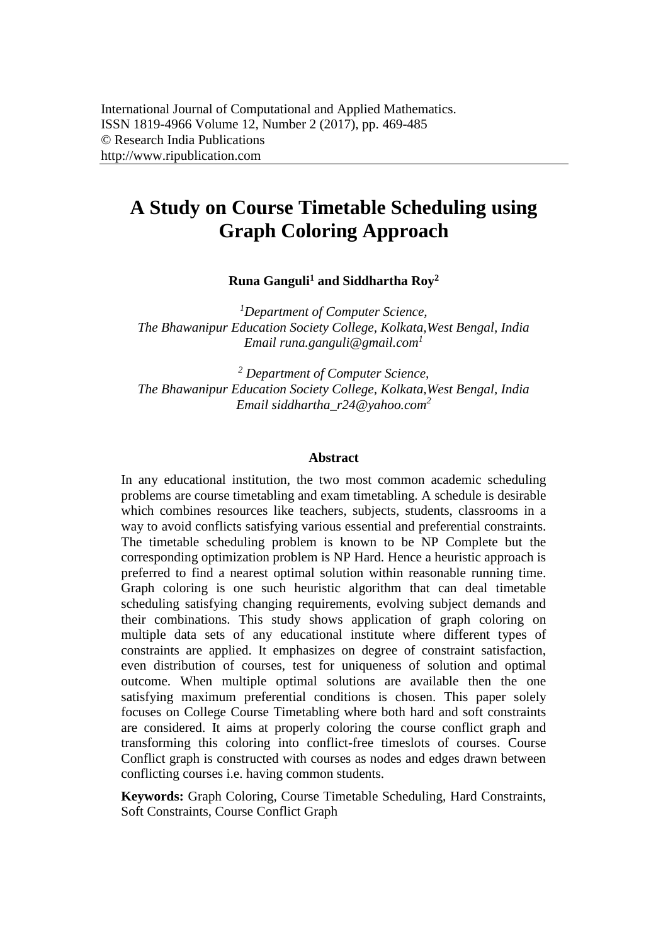# **A Study on Course Timetable Scheduling using Graph Coloring Approach**

**Runa Ganguli<sup>1</sup> and Siddhartha Roy<sup>2</sup>**

*<sup>1</sup>Department of Computer Science, The Bhawanipur Education Society College, Kolkata,West Bengal, India Email [runa.ganguli@gmail.com](mailto:runa.ganguli@gmail.com1)<sup>1</sup>*

*<sup>2</sup> Department of Computer Science, The Bhawanipur Education Society College, Kolkata,West Bengal, India Email [siddhartha\\_r24@yahoo.com](mailto:siddhartha_r24@yahoo.com2)<sup>2</sup>*

#### **Abstract**

In any educational institution, the two most common academic scheduling problems are course timetabling and exam timetabling. A schedule is desirable which combines resources like teachers, subjects, students, classrooms in a way to avoid conflicts satisfying various essential and preferential constraints. The timetable scheduling problem is known to be NP Complete but the corresponding optimization problem is NP Hard. Hence a heuristic approach is preferred to find a nearest optimal solution within reasonable running time. Graph coloring is one such heuristic algorithm that can deal timetable scheduling satisfying changing requirements, evolving subject demands and their combinations. This study shows application of graph coloring on multiple data sets of any educational institute where different types of constraints are applied. It emphasizes on degree of constraint satisfaction, even distribution of courses, test for uniqueness of solution and optimal outcome. When multiple optimal solutions are available then the one satisfying maximum preferential conditions is chosen. This paper solely focuses on College Course Timetabling where both hard and soft constraints are considered. It aims at properly coloring the course conflict graph and transforming this coloring into conflict-free timeslots of courses. Course Conflict graph is constructed with courses as nodes and edges drawn between conflicting courses i.e. having common students.

**Keywords:** Graph Coloring, Course Timetable Scheduling, Hard Constraints, Soft Constraints, Course Conflict Graph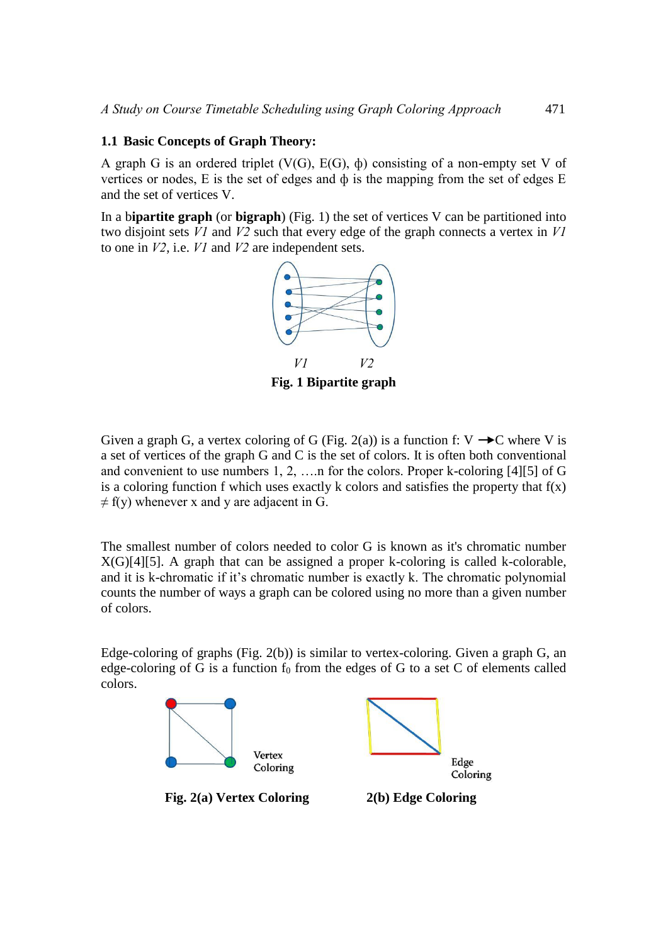#### **1.1 Basic Concepts of Graph Theory:**

A graph G is an ordered triplet  $(V(G), E(G), \phi)$  consisting of a non-empty set V of vertices or nodes, E is the set of edges and ф is the mapping from the set of edges E and the set of vertices V.

In a b**ipartite graph** (or **bigraph**) (Fig. 1) the set of vertices V can be partitioned into two disjoint sets *V1* and *V2* such that every edge of the graph connects a vertex in *V1* to one in *V2*, i.e. *V1* and *V2* are independent sets.



Given a graph G, a vertex coloring of G (Fig. 2(a)) is a function f:  $V \rightarrow C$  where V is a set of vertices of the graph G and C is the set of colors. It is often both conventional and convenient to use numbers 1, 2, ….n for the colors. Proper k-coloring [4][5] of G is a coloring function f which uses exactly k colors and satisfies the property that  $f(x)$  $\neq$  f(y) whenever x and y are adjacent in G.

The smallest number of colors needed to color G is known as it's chromatic number X(G)[4][5]. A graph that can be assigned a proper k-coloring is called k-colorable, and it is k-chromatic if it's chromatic number is exactly k. The chromatic polynomial counts the number of ways a graph can be colored using no more than a given number of colors.

Edge-coloring of graphs (Fig. 2(b)) is similar to vertex-coloring. Given a graph G, an edge-coloring of G is a function  $f_0$  from the edges of G to a set C of elements called colors.

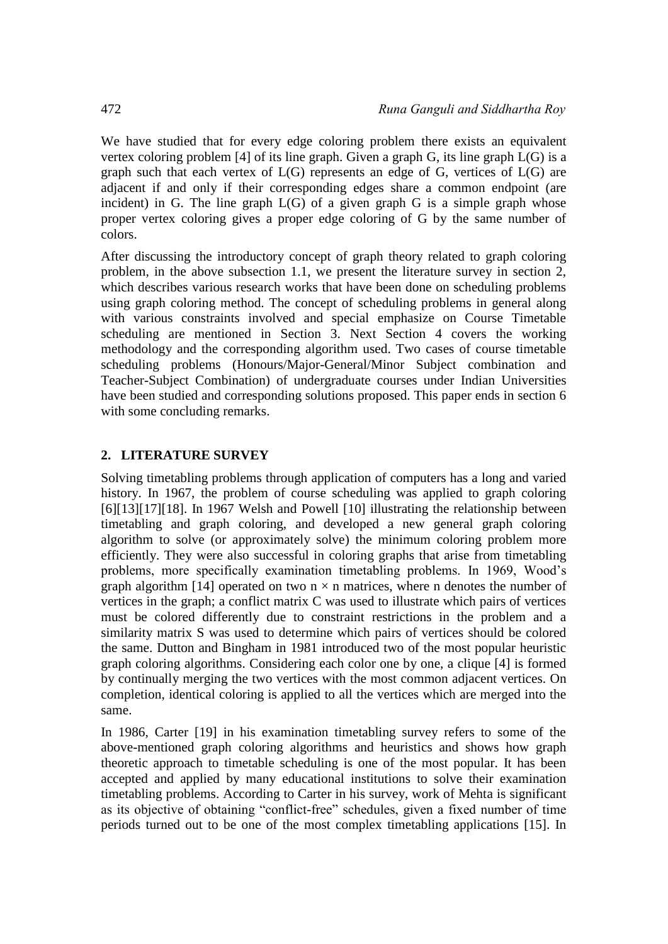We have studied that for every edge coloring problem there exists an equivalent vertex coloring problem [4] of its line graph. Given a graph G, its line graph L(G) is a graph such that each [vertex o](https://en.wikipedia.org/wiki/Vertex_(graph_theory))f  $L(G)$  represents an edge of G, vertices of  $L(G)$  are [adjacent i](https://en.wikipedia.org/wiki/Adjacent_(graph_theory))f and only if their corresponding edges share a common endpoint (are incident) in G. The line graph  $L(G)$  of a given graph G is a simple graph whose proper vertex coloring gives a proper edge coloring of G by the same number of colors.

After discussing the introductory concept of graph theory related to graph coloring problem, in the above subsection 1.1, we present the literature survey in section 2, which describes various research works that have been done on scheduling problems using graph coloring method. The concept of scheduling problems in general along with various constraints involved and special emphasize on Course Timetable scheduling are mentioned in Section 3. Next Section 4 covers the working methodology and the corresponding algorithm used. Two cases of course timetable scheduling problems (Honours/Major-General/Minor Subject combination and Teacher-Subject Combination) of undergraduate courses under Indian Universities have been studied and corresponding solutions proposed. This paper ends in section 6 with some concluding remarks.

### **2. LITERATURE SURVEY**

Solving timetabling problems through application of computers has a long and varied history. In 1967, the problem of course scheduling was applied to graph coloring [6][13][17][18]. In 1967 Welsh and Powell [10] illustrating the relationship between timetabling and graph coloring, and developed a new general graph coloring algorithm to solve (or approximately solve) the minimum coloring problem more efficiently. They were also successful in coloring graphs that arise from timetabling problems, more specifically examination timetabling problems. In 1969, Wood's graph algorithm [14] operated on two  $n \times n$  matrices, where n denotes the number of vertices in the graph; a conflict matrix C was used to illustrate which pairs of vertices must be colored differently due to constraint restrictions in the problem and a similarity matrix S was used to determine which pairs of vertices should be colored the same. Dutton and Bingham in 1981 introduced two of the most popular heuristic graph coloring algorithms. Considering each color one by one, a clique [4] is formed by continually merging the two vertices with the most common adjacent vertices. On completion, identical coloring is applied to all the vertices which are merged into the same.

In 1986, Carter [19] in his examination timetabling survey refers to some of the above-mentioned graph coloring algorithms and heuristics and shows how graph theoretic approach to timetable scheduling is one of the most popular. It has been accepted and applied by many educational institutions to solve their examination timetabling problems. According to Carter in his survey, work of Mehta is significant as its objective of obtaining "conflict-free" schedules, given a fixed number of time periods turned out to be one of the most complex timetabling applications [15]. In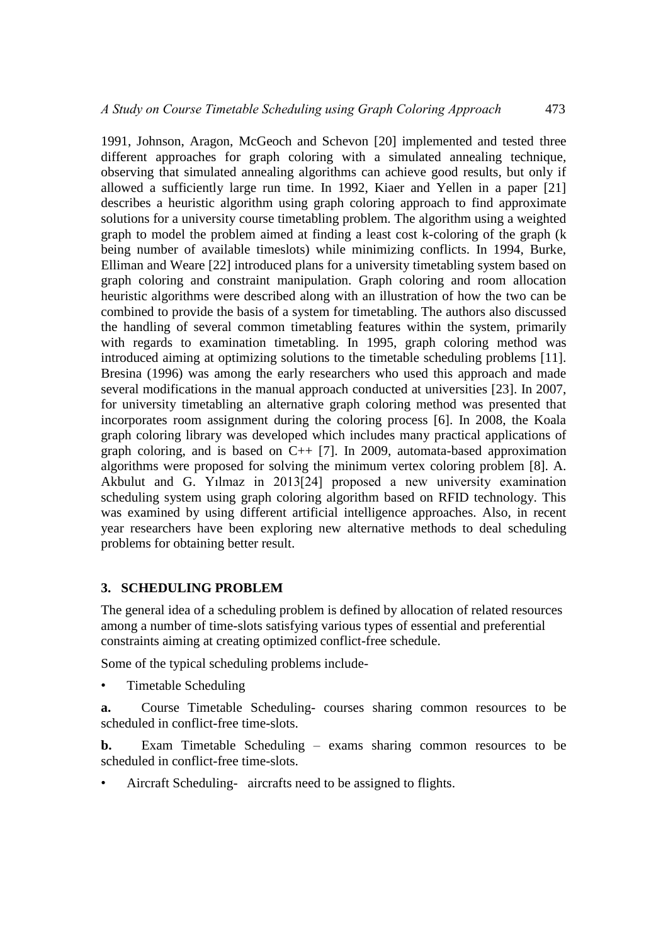1991, Johnson, Aragon, McGeoch and Schevon [20] implemented and tested three different approaches for graph coloring with a simulated annealing technique. observing that simulated annealing algorithms can achieve good results, but only if allowed a sufficiently large run time. In 1992, Kiaer and Yellen in a paper [21] describes a heuristic algorithm using graph coloring approach to find approximate solutions for a university course timetabling problem. The algorithm using a weighted graph to model the problem aimed at finding a least cost k-coloring of the graph (k being number of available timeslots) while minimizing conflicts. In 1994, Burke, Elliman and Weare [22] introduced plans for a university timetabling system based on graph coloring and constraint manipulation. Graph coloring and room allocation heuristic algorithms were described along with an illustration of how the two can be combined to provide the basis of a system for timetabling. The authors also discussed the handling of several common timetabling features within the system, primarily with regards to examination timetabling. In 1995, graph coloring method was introduced aiming at optimizing solutions to the timetable scheduling problems [11]. Bresina (1996) was among the early researchers who used this approach and made several modifications in the manual approach conducted at universities [23]. In 2007, for university timetabling an alternative graph coloring method was presented that incorporates room assignment during the coloring process [6]. In 2008, the Koala graph coloring library was developed which includes many practical applications of graph coloring, and is based on  $C_{++}$  [7]. In 2009, automata-based approximation algorithms were proposed for solving the minimum vertex coloring problem [8]. A. Akbulut and G. Yılmaz in 2013[24] proposed a new university examination scheduling system using graph coloring algorithm based on RFID technology. This was examined by using different artificial intelligence approaches. Also, in recent year researchers have been exploring new alternative methods to deal scheduling problems for obtaining better result.

#### **3. SCHEDULING PROBLEM**

The general idea of a scheduling problem is defined by allocation of related resources among a number of time-slots satisfying various types of essential and preferential constraints aiming at creating optimized conflict-free schedule.

Some of the typical scheduling problems include-

• Timetable Scheduling

**a.** Course Timetable Scheduling- courses sharing common resources to be scheduled in conflict-free time-slots.

**b.** Exam Timetable Scheduling – exams sharing common resources to be scheduled in conflict-free time-slots.

Aircraft Scheduling- aircrafts need to be assigned to flights.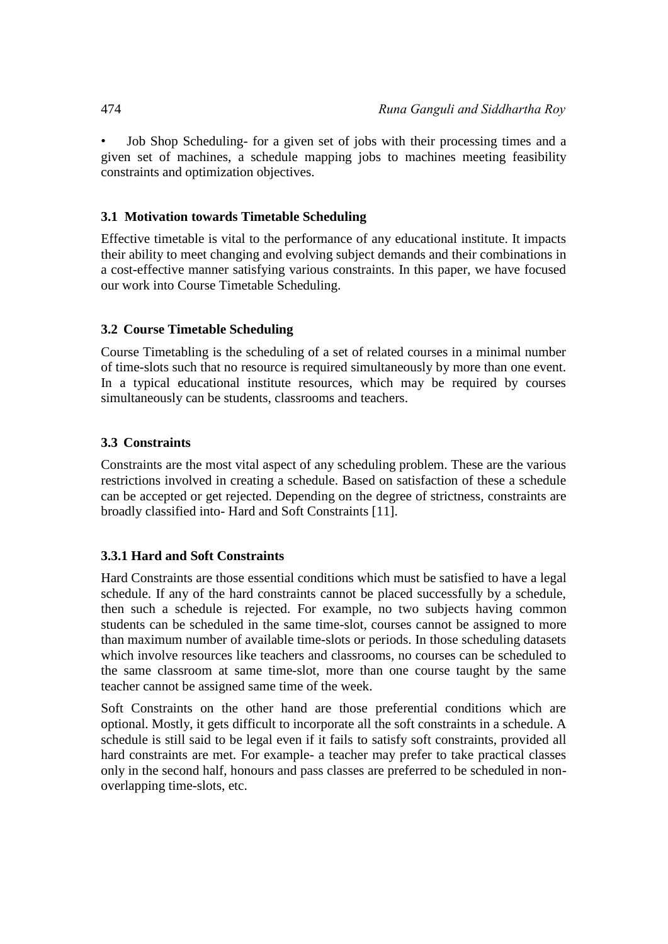• Job Shop Scheduling- for a given set of jobs with their processing times and a given set of machines, a schedule mapping jobs to machines meeting feasibility constraints and optimization objectives.

### **3.1 Motivation towards Timetable Scheduling**

Effective timetable is vital to the performance of any educational institute. It impacts their ability to meet changing and evolving subject demands and their combinations in a cost-effective manner satisfying various constraints. In this paper, we have focused our work into Course Timetable Scheduling.

### **3.2 Course Timetable Scheduling**

Course Timetabling is the scheduling of a set of related courses in a minimal number of time-slots such that no resource is required simultaneously by more than one event. In a typical educational institute resources, which may be required by courses simultaneously can be students, classrooms and teachers.

### **3.3 Constraints**

Constraints are the most vital aspect of any scheduling problem. These are the various restrictions involved in creating a schedule. Based on satisfaction of these a schedule can be accepted or get rejected. Depending on the degree of strictness, constraints are broadly classified into- Hard and Soft Constraints [11].

### **3.3.1 Hard and Soft Constraints**

Hard Constraints are those essential conditions which must be satisfied to have a legal schedule. If any of the hard constraints cannot be placed successfully by a schedule, then such a schedule is rejected. For example, no two subjects having common students can be scheduled in the same time-slot, courses cannot be assigned to more than maximum number of available time-slots or periods. In those scheduling datasets which involve resources like teachers and classrooms, no courses can be scheduled to the same classroom at same time-slot, more than one course taught by the same teacher cannot be assigned same time of the week.

Soft Constraints on the other hand are those preferential conditions which are optional. Mostly, it gets difficult to incorporate all the soft constraints in a schedule. A schedule is still said to be legal even if it fails to satisfy soft constraints, provided all hard constraints are met. For example- a teacher may prefer to take practical classes only in the second half, honours and pass classes are preferred to be scheduled in nonoverlapping time-slots, etc.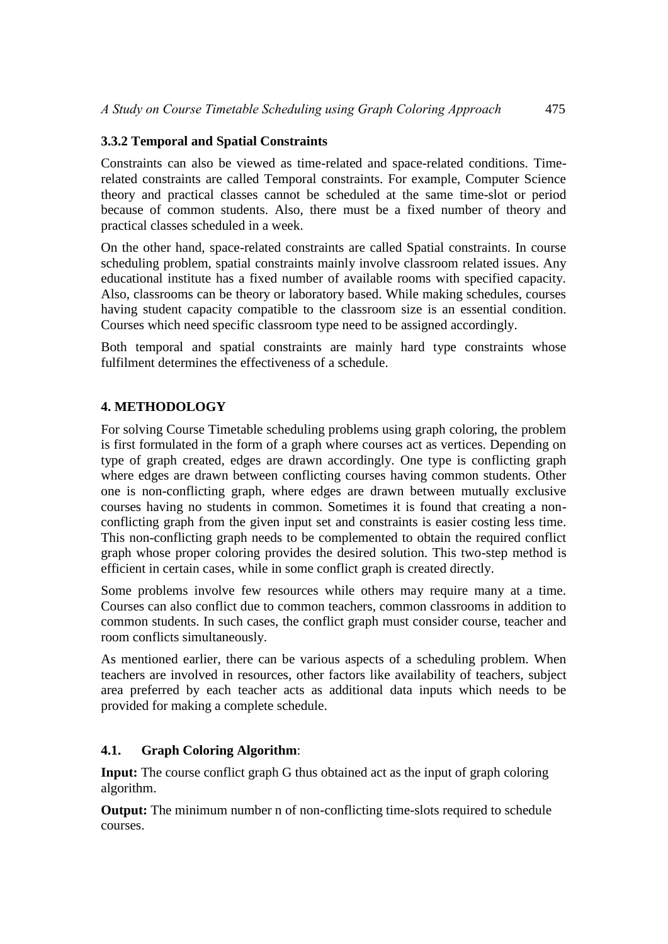### **3.3.2 Temporal and Spatial Constraints**

Constraints can also be viewed as time-related and space-related conditions. Timerelated constraints are called Temporal constraints. For example, Computer Science theory and practical classes cannot be scheduled at the same time-slot or period because of common students. Also, there must be a fixed number of theory and practical classes scheduled in a week.

On the other hand, space-related constraints are called Spatial constraints. In course scheduling problem, spatial constraints mainly involve classroom related issues. Any educational institute has a fixed number of available rooms with specified capacity. Also, classrooms can be theory or laboratory based. While making schedules, courses having student capacity compatible to the classroom size is an essential condition. Courses which need specific classroom type need to be assigned accordingly.

Both temporal and spatial constraints are mainly hard type constraints whose fulfilment determines the effectiveness of a schedule.

### **4. METHODOLOGY**

For solving Course Timetable scheduling problems using graph coloring, the problem is first formulated in the form of a graph where courses act as vertices. Depending on type of graph created, edges are drawn accordingly. One type is conflicting graph where edges are drawn between conflicting courses having common students. Other one is non-conflicting graph, where edges are drawn between mutually exclusive courses having no students in common. Sometimes it is found that creating a nonconflicting graph from the given input set and constraints is easier costing less time. This non-conflicting graph needs to be complemented to obtain the required conflict graph whose proper coloring provides the desired solution. This two-step method is efficient in certain cases, while in some conflict graph is created directly.

Some problems involve few resources while others may require many at a time. Courses can also conflict due to common teachers, common classrooms in addition to common students. In such cases, the conflict graph must consider course, teacher and room conflicts simultaneously.

As mentioned earlier, there can be various aspects of a scheduling problem. When teachers are involved in resources, other factors like availability of teachers, subject area preferred by each teacher acts as additional data inputs which needs to be provided for making a complete schedule.

#### **4.1. Graph Coloring Algorithm**:

**Input:** The course conflict graph G thus obtained act as the input of graph coloring algorithm.

**Output:** The minimum number n of non-conflicting time-slots required to schedule courses.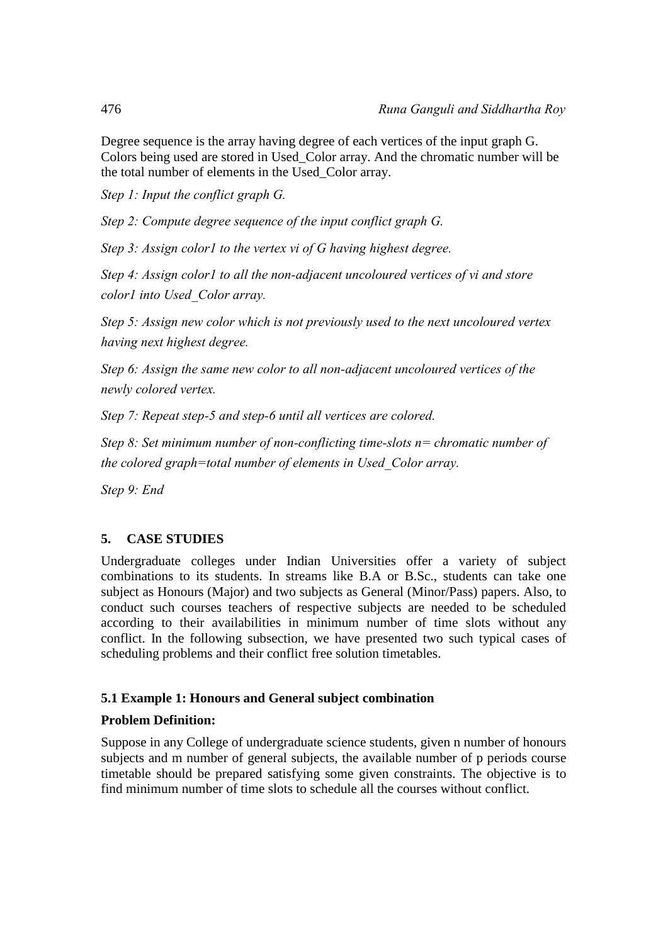Degree sequence is the array having degree of each vertices of the input graph G. Colors being used are stored in Used\_Color array. And the chromatic number will be the total number of elements in the Used\_Color array.

*Step 1: Input the conflict graph G.*

*Step 2: Compute degree sequence of the input conflict graph G.*

*Step 3: Assign color1 to the vertex vi of G having highest degree.*

*Step 4: Assign color1 to all the non-adjacent uncoloured vertices of vi and store color1 into Used\_Color array.*

*Step 5: Assign new color which is not previously used to the next uncoloured vertex having next highest degree.*

*Step 6: Assign the same new color to all non-adjacent uncoloured vertices of the newly colored vertex.*

*Step 7: Repeat step-5 and step-6 until all vertices are colored.*

*Step 8: Set minimum number of non-conflicting time-slots n= chromatic number of the colored graph=total number of elements in Used\_Color array.*

*Step 9: End*

## **5. CASE STUDIES**

Undergraduate colleges under Indian Universities offer a variety of subject combinations to its students. In streams like B.A or B.Sc., students can take one subject as Honours (Major) and two subjects as General (Minor/Pass) papers. Also, to conduct such courses teachers of respective subjects are needed to be scheduled according to their availabilities in minimum number of time slots without any conflict. In the following subsection, we have presented two such typical cases of scheduling problems and their conflict free solution timetables.

### **5.1 Example 1: Honours and General subject combination**

#### **Problem Definition:**

Suppose in any College of undergraduate science students, given n number of honours subjects and m number of general subjects, the available number of p periods course timetable should be prepared satisfying some given constraints. The objective is to find minimum number of time slots to schedule all the courses without conflict.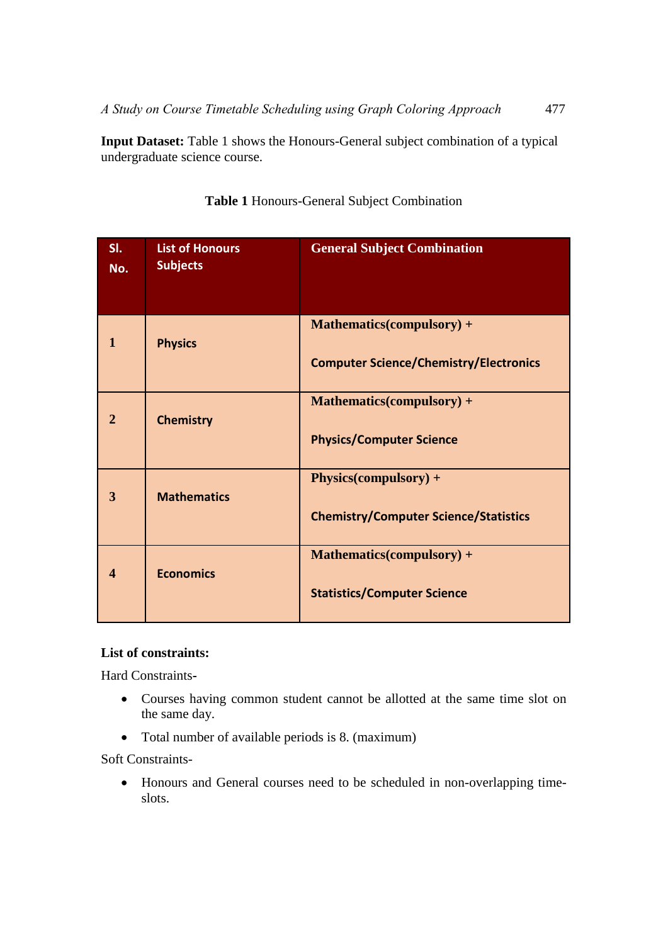**Input Dataset:** Table 1 shows the Honours-General subject combination of a typical undergraduate science course.

| SI.<br>No.            | <b>List of Honours</b><br><b>Subjects</b> | <b>General Subject Combination</b>            |
|-----------------------|-------------------------------------------|-----------------------------------------------|
| 1                     | <b>Physics</b>                            | Mathematics(compulsory) +                     |
|                       |                                           | <b>Computer Science/Chemistry/Electronics</b> |
| $\overline{2}$        | <b>Chemistry</b>                          | <b>Mathematics(compulsory) +</b>              |
|                       |                                           | <b>Physics/Computer Science</b>               |
| 3                     | <b>Mathematics</b>                        | Physics(compulsory) +                         |
|                       |                                           | <b>Chemistry/Computer Science/Statistics</b>  |
| $\boldsymbol{\Delta}$ | <b>Economics</b>                          | <b>Mathematics(compulsory) +</b>              |
|                       |                                           | <b>Statistics/Computer Science</b>            |

**Table 1** Honours-General Subject Combination

### **List of constraints:**

Hard Constraints**-**

- Courses having common student cannot be allotted at the same time slot on the same day.
- Total number of available periods is 8. (maximum)

Soft Constraints-

• Honours and General courses need to be scheduled in non-overlapping timeslots.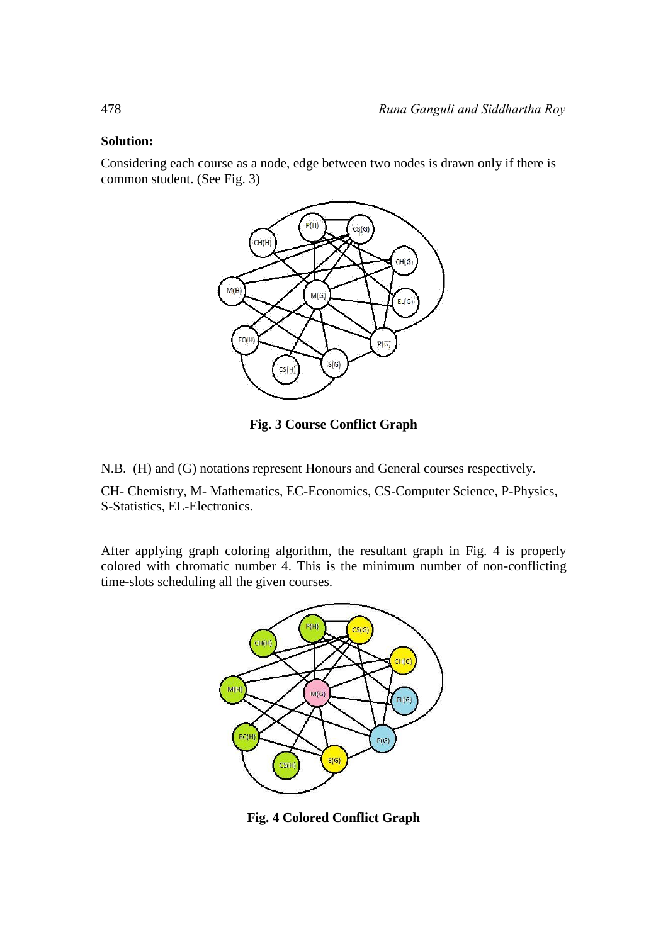#### **Solution:**

Considering each course as a node, edge between two nodes is drawn only if there is common student. (See Fig. 3)



**Fig. 3 Course Conflict Graph**

N.B. (H) and (G) notations represent Honours and General courses respectively.

CH- Chemistry, M- Mathematics, EC-Economics, CS-Computer Science, P-Physics, S-Statistics, EL-Electronics.

After applying graph coloring algorithm, the resultant graph in Fig. 4 is properly colored with chromatic number 4. This is the minimum number of non-conflicting time-slots scheduling all the given courses.



**Fig. 4 Colored Conflict Graph**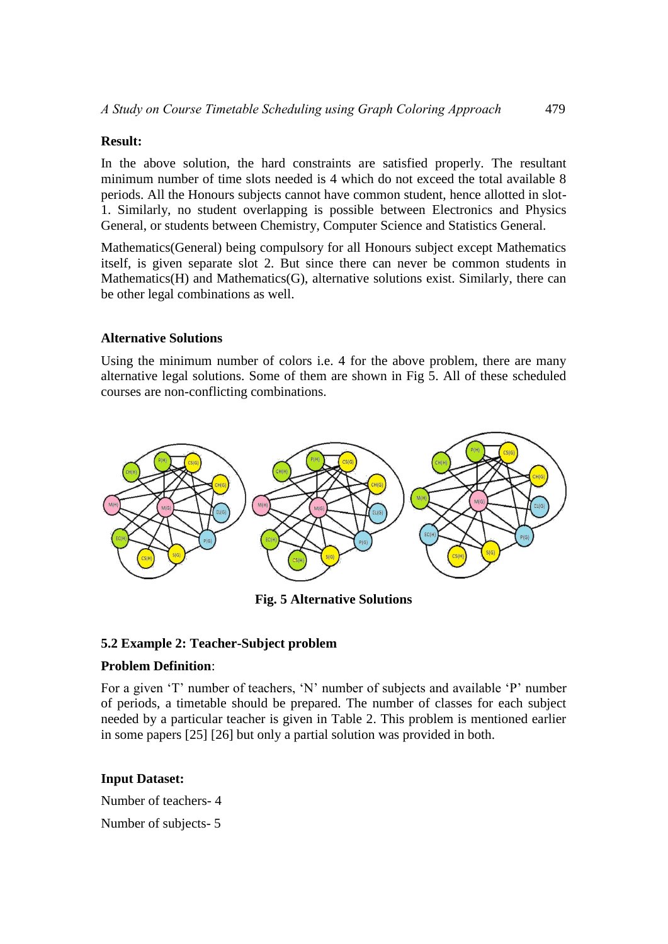#### **Result:**

In the above solution, the hard constraints are satisfied properly. The resultant minimum number of time slots needed is 4 which do not exceed the total available 8 periods. All the Honours subjects cannot have common student, hence allotted in slot-1. Similarly, no student overlapping is possible between Electronics and Physics General, or students between Chemistry, Computer Science and Statistics General.

Mathematics(General) being compulsory for all Honours subject except Mathematics itself, is given separate slot 2. But since there can never be common students in Mathematics(H) and Mathematics(G), alternative solutions exist. Similarly, there can be other legal combinations as well.

#### **Alternative Solutions**

Using the minimum number of colors i.e. 4 for the above problem, there are many alternative legal solutions. Some of them are shown in Fig 5. All of these scheduled courses are non-conflicting combinations.



**Fig. 5 Alternative Solutions**

#### **5.2 Example 2: Teacher-Subject problem**

#### **Problem Definition**:

For a given 'T' number of teachers, 'N' number of subjects and available 'P' number of periods, a timetable should be prepared. The number of classes for each subject needed by a particular teacher is given in Table 2. This problem is mentioned earlier in some papers [25] [26] but only a partial solution was provided in both.

### **Input Dataset:**

Number of teachers- 4

Number of subjects- 5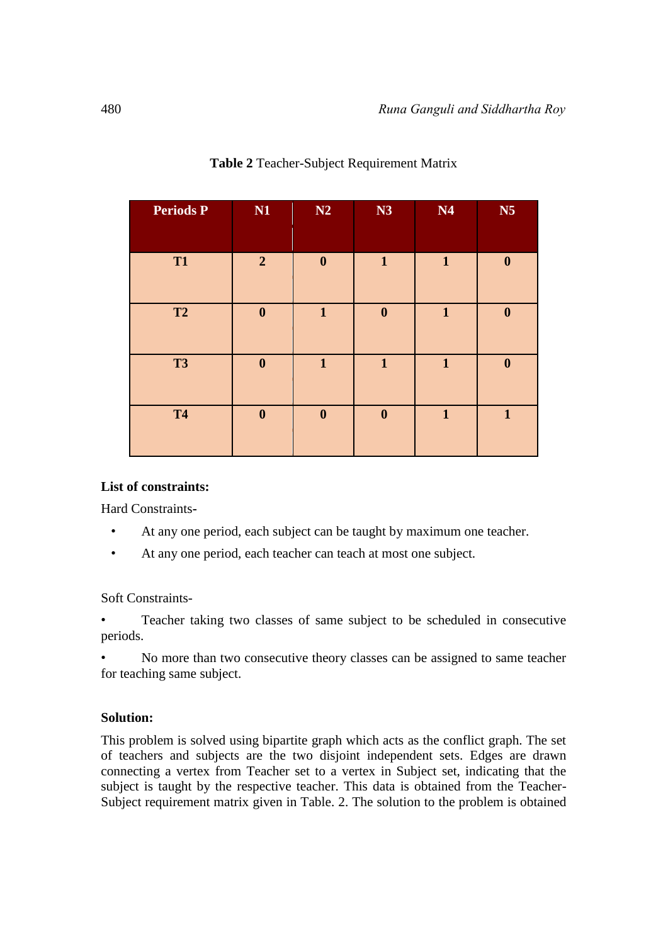| <b>Periods P</b> | N1               | N2               | N3               | N4           | N <sub>5</sub>   |
|------------------|------------------|------------------|------------------|--------------|------------------|
| <b>T1</b>        | $\overline{2}$   | $\boldsymbol{0}$ | $\mathbf{1}$     | $\mathbf{1}$ | $\boldsymbol{0}$ |
| <b>T2</b>        | $\boldsymbol{0}$ | $\mathbf{1}$     | $\boldsymbol{0}$ | $\mathbf{1}$ | $\boldsymbol{0}$ |
| <b>T3</b>        | $\boldsymbol{0}$ | $\mathbf{1}$     | $\mathbf{1}$     | $\mathbf{1}$ | $\boldsymbol{0}$ |
| <b>T4</b>        | $\boldsymbol{0}$ | $\boldsymbol{0}$ | $\boldsymbol{0}$ | $\mathbf{1}$ | $\mathbf{1}$     |

### **Table 2** Teacher-Subject Requirement Matrix

#### **List of constraints:**

Hard Constraints**-**

- At any one period, each subject can be taught by maximum one teacher.
- At any one period, each teacher can teach at most one subject.

Soft Constraints-

• Teacher taking two classes of same subject to be scheduled in consecutive periods.

• No more than two consecutive theory classes can be assigned to same teacher for teaching same subject.

#### **Solution:**

This problem is solved using bipartite graph which acts as the conflict graph. The set of teachers and subjects are the two disjoint independent sets. Edges are drawn connecting a vertex from Teacher set to a vertex in Subject set, indicating that the subject is taught by the respective teacher. This data is obtained from the Teacher-Subject requirement matrix given in Table. 2. The solution to the problem is obtained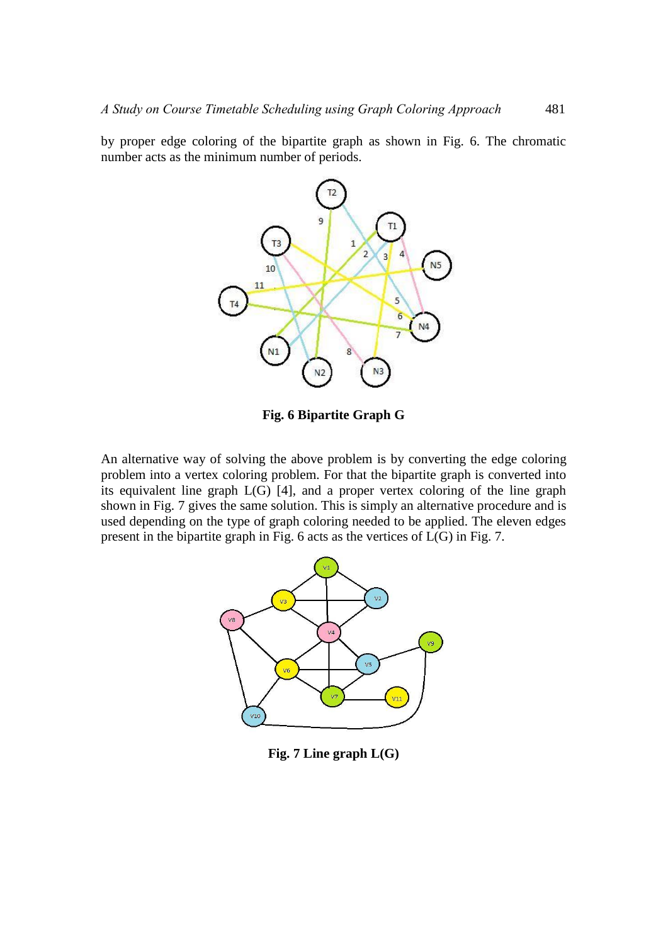by proper edge coloring of the bipartite graph as shown in Fig. 6. The chromatic number acts as the minimum number of periods.



**Fig. 6 Bipartite Graph G**

An alternative way of solving the above problem is by converting the edge coloring problem into a vertex coloring problem. For that the bipartite graph is converted into its equivalent line graph L(G) [4], and a proper vertex coloring of the line graph shown in Fig. 7 gives the same solution. This is simply an alternative procedure and is used depending on the type of graph coloring needed to be applied. The eleven edges present in the bipartite graph in Fig. 6 acts as the vertices of L(G) in Fig. 7.



**Fig. 7 Line graph L(G)**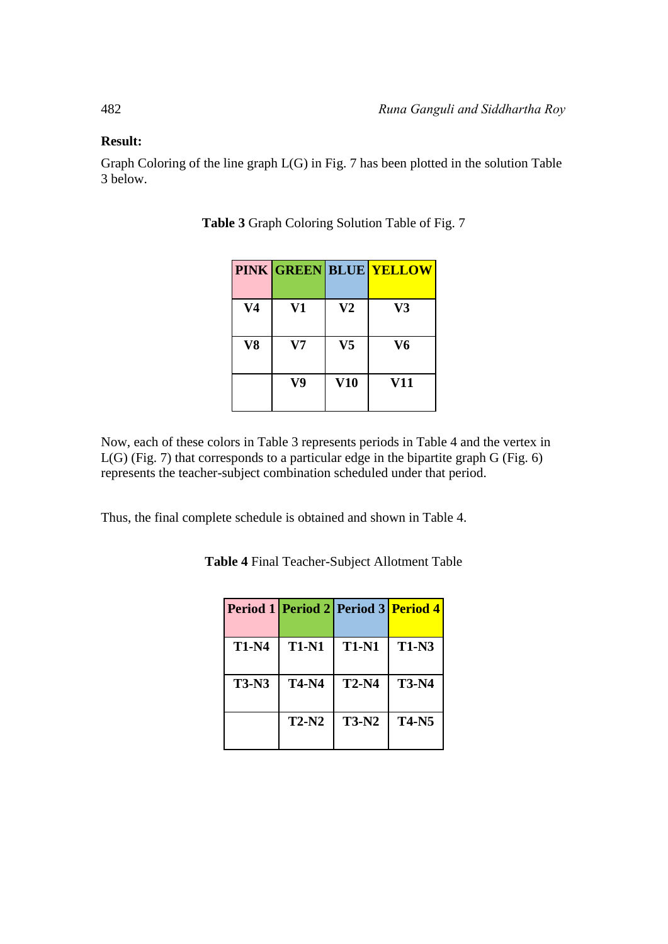#### **Result:**

Graph Coloring of the line graph L(G) in Fig. 7 has been plotted in the solution Table 3 below.

|                |          |                | <b>PINK GREEN BLUE YELLOW</b> |
|----------------|----------|----------------|-------------------------------|
| V <sub>4</sub> | V1       | V <sub>2</sub> | V3                            |
| V8             | $\bf V7$ | V <sub>5</sub> | V6                            |
|                | V9       | V10            | V11                           |

**Table 3** Graph Coloring Solution Table of Fig. 7

Now, each of these colors in Table 3 represents periods in Table 4 and the vertex in L(G) (Fig. 7) that corresponds to a particular edge in the bipartite graph G (Fig. 6) represents the teacher-subject combination scheduled under that period.

Thus, the final complete schedule is obtained and shown in Table 4.

**Table 4** Final Teacher-Subject Allotment Table

|              |              | Period 1 Period 2 Period 3 Period 4 |              |
|--------------|--------------|-------------------------------------|--------------|
| <b>T1-N4</b> | <b>T1-N1</b> | <b>T1-N1</b>                        | <b>T1-N3</b> |
| <b>T3-N3</b> | <b>T4-N4</b> | $T2-N4$                             | <b>T3-N4</b> |
|              | <b>T2-N2</b> | <b>T3-N2</b>                        | <b>T4-N5</b> |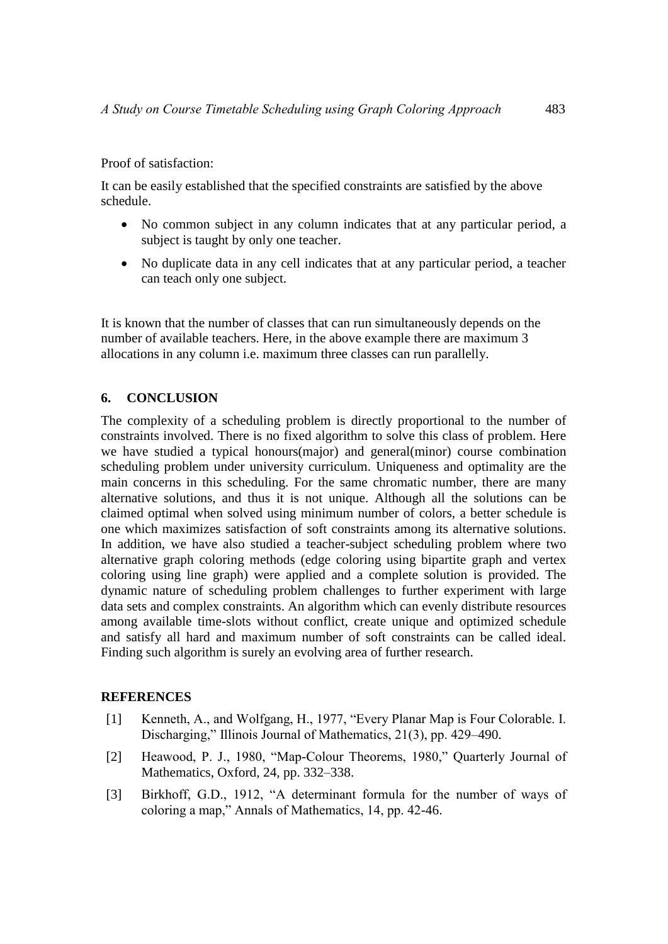Proof of satisfaction:

It can be easily established that the specified constraints are satisfied by the above schedule.

- No common subject in any column indicates that at any particular period, a subject is taught by only one teacher.
- No duplicate data in any cell indicates that at any particular period, a teacher can teach only one subject.

It is known that the number of classes that can run simultaneously depends on the number of available teachers. Here, in the above example there are maximum 3 allocations in any column i.e. maximum three classes can run parallelly.

#### **6. CONCLUSION**

The complexity of a scheduling problem is directly proportional to the number of constraints involved. There is no fixed algorithm to solve this class of problem. Here we have studied a typical honours(major) and general(minor) course combination scheduling problem under university curriculum. Uniqueness and optimality are the main concerns in this scheduling. For the same chromatic number, there are many alternative solutions, and thus it is not unique. Although all the solutions can be claimed optimal when solved using minimum number of colors, a better schedule is one which maximizes satisfaction of soft constraints among its alternative solutions. In addition, we have also studied a teacher-subject scheduling problem where two alternative graph coloring methods (edge coloring using bipartite graph and vertex coloring using line graph) were applied and a complete solution is provided. The dynamic nature of scheduling problem challenges to further experiment with large data sets and complex constraints. An algorithm which can evenly distribute resources among available time-slots without conflict, create unique and optimized schedule and satisfy all hard and maximum number of soft constraints can be called ideal. Finding such algorithm is surely an evolving area of further research.

#### **REFERENCES**

- [1] Kenneth, A., and Wolfgang, H., 1977, "Every Planar Map is Four Colorable. I. Discharging," Illinois Journal of Mathematics, 21(3), pp. 429–490.
- [2] Heawood, P. J., 1980, "Map-Colour Theorems, 1980," Quarterly Journal of Mathematics, Oxford, 24, pp. 332–338.
- [3] Birkhoff, G.D., 1912, "A determinant formula for the number of ways of coloring a map," Annals of Mathematics, 14, pp. 42-46.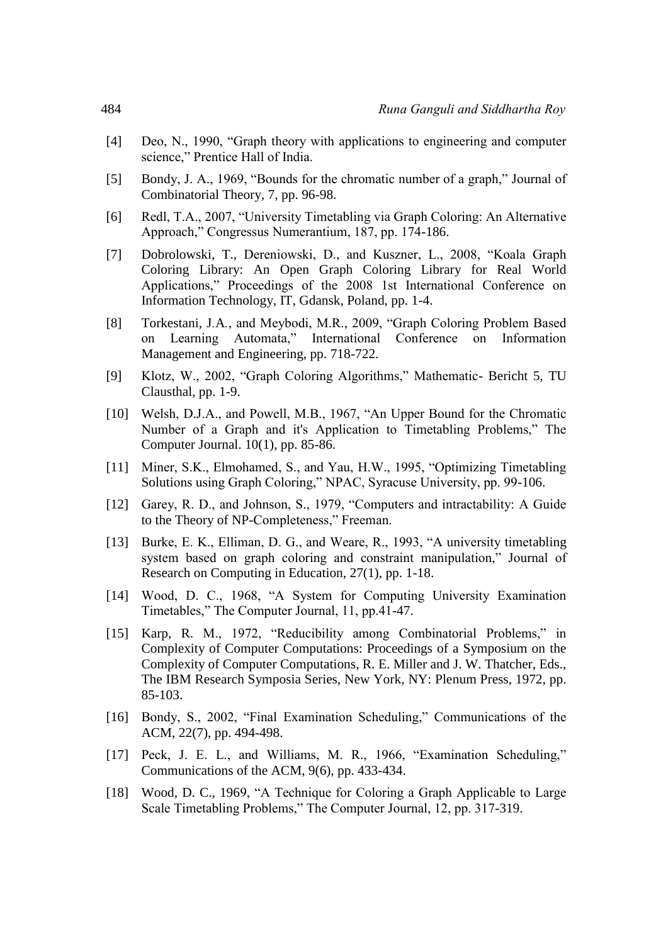- [4] Deo, N., 1990, "Graph theory with applications to engineering and computer science," Prentice Hall of India.
- [5] Bondy, J. A., 1969, "Bounds for the chromatic number of a graph," Journal of Combinatorial Theory, 7, pp. 96-98.
- [6] Redl, T.A., 2007, "University Timetabling via Graph Coloring: An Alternative Approach," Congressus Numerantium, 187, pp. 174-186.
- [7] Dobrolowski, T., Dereniowski, D., and Kuszner, L., 2008, "Koala Graph Coloring Library: An Open Graph Coloring Library for Real World Applications," Proceedings of the 2008 1st International Conference on Information Technology, IT, Gdansk, Poland, pp. 1-4.
- [8] Torkestani, J*.*A*.*, and Meybodi, M.R., 2009, "Graph Coloring Problem Based on Learning Automata," International Conference on Information Management and Engineering, pp. 718-722.
- [9] Klotz, W., 2002, "Graph Coloring Algorithms," Mathematic- Bericht 5, TU Clausthal, pp. 1-9.
- [10] Welsh, D.J.A., and Powell, M.B., 1967, "An Upper Bound for the Chromatic Number of a Graph and it's Application to Timetabling Problems," The Computer Journal. 10(1), pp. 85-86.
- [11] Miner, S.K., Elmohamed, S., and Yau, H.W., 1995, "Optimizing Timetabling Solutions using Graph Coloring," NPAC, Syracuse University, pp. 99-106.
- [12] Garey, R. D., and Johnson, S., 1979, "Computers and intractability: A Guide to the Theory of NP-Completeness," Freeman.
- [13] Burke, E. K., Elliman, D. G., and Weare, R., 1993, "A university timetabling system based on graph coloring and constraint manipulation," Journal of Research on Computing in Education, 27(1), pp. 1-18.
- [14] Wood, D. C., 1968, "A System for Computing University Examination Timetables," The Computer Journal, 11, pp.41-47.
- [15] Karp, R. M., 1972, "Reducibility among Combinatorial Problems," in Complexity of Computer Computations: Proceedings of a Symposium on the Complexity of Computer Computations, R. E. Miller and J. W. Thatcher, Eds., The IBM Research Symposia Series, New York, NY: Plenum Press, 1972, pp. 85-103.
- [16] Bondy, S., 2002, "Final Examination Scheduling," Communications of the ACM, 22(7), pp. 494-498.
- [17] Peck, J. E. L., and Williams, M. R., 1966, "Examination Scheduling," Communications of the ACM, 9(6), pp. 433-434.
- [18] Wood, D. C., 1969, "A Technique for Coloring a Graph Applicable to Large Scale Timetabling Problems," The Computer Journal, 12, pp. 317-319.